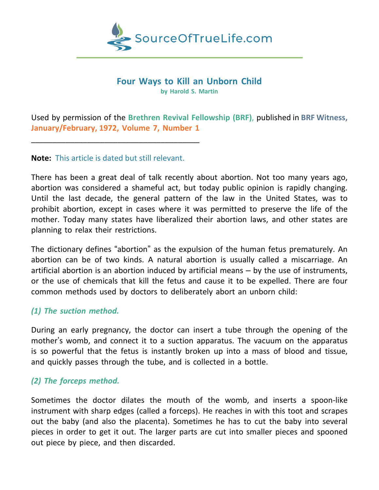

#### **Four Ways to Kill an Unborn Child by Harold S. Martin**

Used by permission of the **Brethren Revival Fellowship (BRF)**, published in **BRF Witness, January/February, 1972, Volume 7, Number 1**

**Note:** This article is dated but still relevant.

\_\_\_\_\_\_\_\_\_\_\_\_\_\_\_\_\_\_\_\_\_\_\_\_\_\_\_\_\_\_\_\_\_\_\_\_\_\_\_

There has been a great deal of talk recently about abortion. Not too many years ago, abortion was considered a shameful act, but today public opinion is rapidly changing. Until the last decade, the general pattern of the law in the United States, was to prohibit abortion, except in cases where it was permitted to preserve the life of the mother. Today many states have liberalized their abortion laws, and other states are planning to relax their restrictions.

The dictionary defines "abortion" as the expulsion of the human fetus prematurely. An abortion can be of two kinds. A natural abortion is usually called a miscarriage. An artificial abortion is an abortion induced by artificial means – by the use of instruments, or the use of chemicals that kill the fetus and cause it to be expelled. There are four common methods used by doctors to deliberately abort an unborn child:

## *(1) The suction method.*

During an early pregnancy, the doctor can insert a tube through the opening of the mother's womb, and connect it to a suction apparatus. The vacuum on the apparatus is so powerful that the fetus is instantly broken up into a mass of blood and tissue, and quickly passes through the tube, and is collected in a bottle.

## *(2) The forceps method.*

Sometimes the doctor dilates the mouth of the womb, and inserts a spoon-like instrument with sharp edges (called a forceps). He reaches in with this toot and scrapes out the baby (and also the placenta). Sometimes he has to cut the baby into several pieces in order to get it out. The larger parts are cut into smaller pieces and spooned out piece by piece, and then discarded.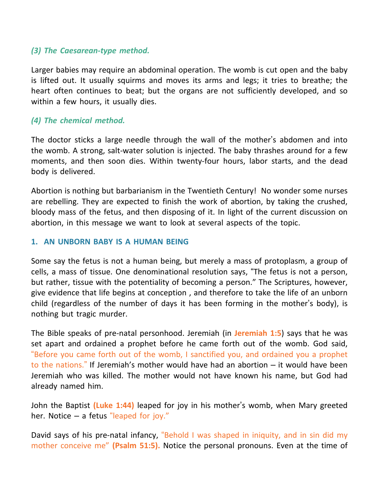#### *(3) The Caesarean-type method.*

Larger babies may require an abdominal operation. The womb is cut open and the baby is lifted out. It usually squirms and moves its arms and legs; it tries to breathe; the heart often continues to beat; but the organs are not sufficiently developed, and so within a few hours, it usually dies.

## *(4) The chemical method.*

The doctor sticks a large needle through the wall of the mother's abdomen and into the womb. A strong, salt-water solution is injected. The baby thrashes around for a few moments, and then soon dies. Within twenty-four hours, labor starts, and the dead body is delivered.

Abortion is nothing but barbarianism in the Twentieth Century! No wonder some nurses are rebelling. They are expected to finish the work of abortion, by taking the crushed, bloody mass of the fetus, and then disposing of it. In light of the current discussion on abortion, in this message we want to look at several aspects of the topic.

#### **1. AN UNBORN BABY IS A HUMAN BEING**

Some say the fetus is not a human being, but merely a mass of protoplasm, a group of cells, a mass of tissue. One denominational resolution says, "The fetus is not a person, but rather, tissue with the potentiality of becoming a person." The Scriptures, however, give evidence that life begins at conception , and therefore to take the life of an unborn child (regardless of the number of days it has been forming in the mother's body), is nothing but tragic murder.

The Bible speaks of pre-natal personhood. Jeremiah (in **Jeremiah 1:5**) says that he was set apart and ordained a prophet before he came forth out of the womb. God said, "Before you came forth out of the womb, I sanctified you, and ordained you a prophet to the nations." If Jeremiah's mother would have had an abortion – it would have been Jeremiah who was killed. The mother would not have known his name, but God had already named him.

John the Baptist **(Luke 1:44)** leaped for joy in his mother's womb, when Mary greeted her. Notice – a fetus "leaped for joy."

David says of his pre-natal infancy, "Behold I was shaped in iniquity, and in sin did my mother conceive me" **(Psalm 51:5).** Notice the personal pronouns. Even at the time of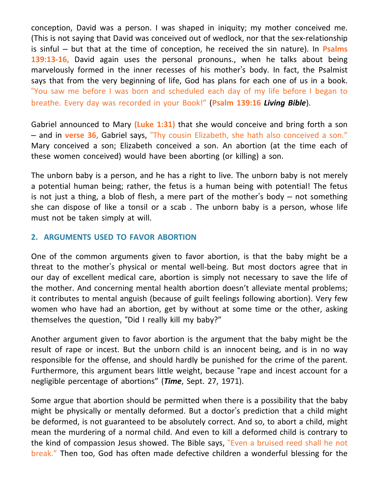conception, David was a person. I was shaped in iniquity; my mother conceived me. (This is not saying that David was conceived out of wedlock, nor that the sex-relationship is sinful – but that at the time of conception, he received the sin nature). In **Psalms 139:13-16,** David again uses the personal pronouns., when he talks about being marvelously formed in the inner recesses of his mother's body. In fact, the Psalmist says that from the very beginning of life, God has plans for each one of us in a book. "You saw me before I was born and scheduled each day of my life before I began to breathe. Every day was recorded in your Book!" (**Psalm 139:16** *Living Bible*).

Gabriel announced to Mary **(Luke 1:31)** that she would conceive and bring forth a son – and in **verse 36,** Gabriel says, "Thy cousin Elizabeth, she hath also conceived a son." Mary conceived a son; Elizabeth conceived a son. An abortion (at the time each of these women conceived) would have been aborting (or killing) a son.

The unborn baby is a person, and he has a right to live. The unborn baby is not merely a potential human being; rather, the fetus is a human being with potential! The fetus is not just a thing, a blob of flesh, a mere part of the mother's body – not something she can dispose of like a tonsil or a scab . The unborn baby is a person, whose life must not be taken simply at will.

## **2. ARGUMENTS USED TO FAVOR ABORTION**

One of the common arguments given to favor abortion, is that the baby might be a threat to the mother's physical or mental well-being. But most doctors agree that in our day of excellent medical care, abortion is simply not necessary to save the life of the mother. And concerning mental health abortion doesn't alleviate mental problems; it contributes to mental anguish (because of guilt feelings following abortion). Very few women who have had an abortion, get by without at some time or the other, asking themselves the question, "Did I really kill my baby?"

Another argument given to favor abortion is the argument that the baby might be the result of rape or incest. But the unborn child is an innocent being, and is in no way responsible for the offense, and should hardly be punished for the crime of the parent. Furthermore, this argument bears little weight, because "rape and incest account for a negligible percentage of abortions" (*Time*, Sept. 27, 1971).

Some argue that abortion should be permitted when there is a possibility that the baby might be physically or mentally deformed. But a doctor's prediction that a child might be deformed, is not guaranteed to be absolutely correct. And so, to abort a child, might mean the murdering of a normal child. And even to kill a deformed child is contrary to the kind of compassion Jesus showed. The Bible says, "Even a bruised reed shall he not break." Then too, God has often made defective children a wonderful blessing for the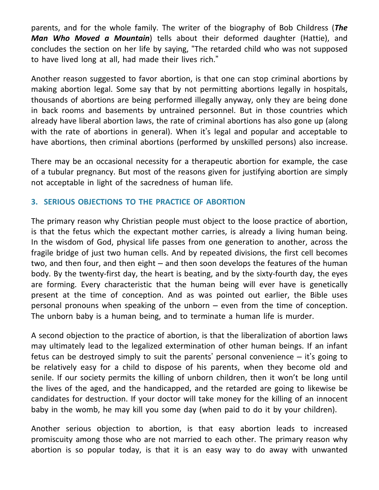parents, and for the whole family. The writer of the biography of Bob Childress (*The Man Who Moved a Mountain*) tells about their deformed daughter (Hattie), and concludes the section on her life by saying, "The retarded child who was not supposed to have lived long at all, had made their lives rich."

Another reason suggested to favor abortion, is that one can stop criminal abortions by making abortion legal. Some say that by not permitting abortions legally in hospitals, thousands of abortions are being performed illegally anyway, only they are being done in back rooms and basements by untrained personnel. But in those countries which already have liberal abortion laws, the rate of criminal abortions has also gone up (along with the rate of abortions in general). When it's legal and popular and acceptable to have abortions, then criminal abortions (performed by unskilled persons) also increase.

There may be an occasional necessity for a therapeutic abortion for example, the case of a tubular pregnancy. But most of the reasons given for justifying abortion are simply not acceptable in light of the sacredness of human life.

# **3. SERIOUS OBJECTIONS TO THE PRACTICE OF ABORTION**

The primary reason why Christian people must object to the loose practice of abortion, is that the fetus which the expectant mother carries, is already a living human being. In the wisdom of God, physical life passes from one generation to another, across the fragile bridge of just two human cells. And by repeated divisions, the first cell becomes two, and then four, and then eight – and then soon develops the features of the human body. By the twenty-first day, the heart is beating, and by the sixty-fourth day, the eyes are forming. Every characteristic that the human being will ever have is genetically present at the time of conception. And as was pointed out earlier, the Bible uses personal pronouns when speaking of the unborn – even from the time of conception. The unborn baby is a human being, and to terminate a human life is murder.

A second objection to the practice of abortion, is that the liberalization of abortion laws may ultimately lead to the legalized extermination of other human beings. If an infant fetus can be destroyed simply to suit the parents' personal convenience  $-$  it's going to be relatively easy for a child to dispose of his parents, when they become old and senile. If our society permits the killing of unborn children, then it won't be long until the lives of the aged, and the handicapped, and the retarded are going to likewise be candidates for destruction. If your doctor will take money for the killing of an innocent baby in the womb, he may kill you some day (when paid to do it by your children).

Another serious objection to abortion, is that easy abortion leads to increased promiscuity among those who are not married to each other. The primary reason why abortion is so popular today, is that it is an easy way to do away with unwanted